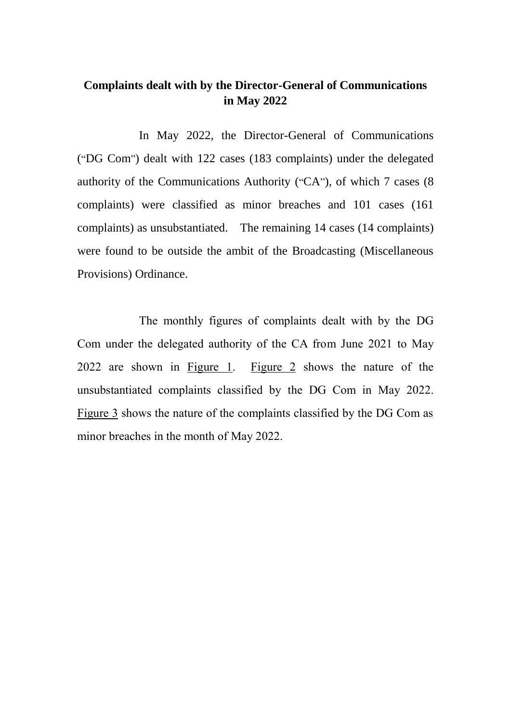#### **Complaints dealt with by the Director-General of Communications in May 2022**

In May 2022, the Director-General of Communications ("DG Com") dealt with 122 cases (183 complaints) under the delegated authority of the Communications Authority ("CA"), of which 7 cases (8 complaints) were classified as minor breaches and 101 cases (161 complaints) as unsubstantiated. The remaining 14 cases (14 complaints) were found to be outside the ambit of the Broadcasting (Miscellaneous Provisions) Ordinance.

The monthly figures of complaints dealt with by the DG Com under the delegated authority of the CA from June 2021 to May 2022 are shown in Figure 1. Figure 2 shows the nature of the unsubstantiated complaints classified by the DG Com in May 2022. Figure 3 shows the nature of the complaints classified by the DG Com as minor breaches in the month of May 2022.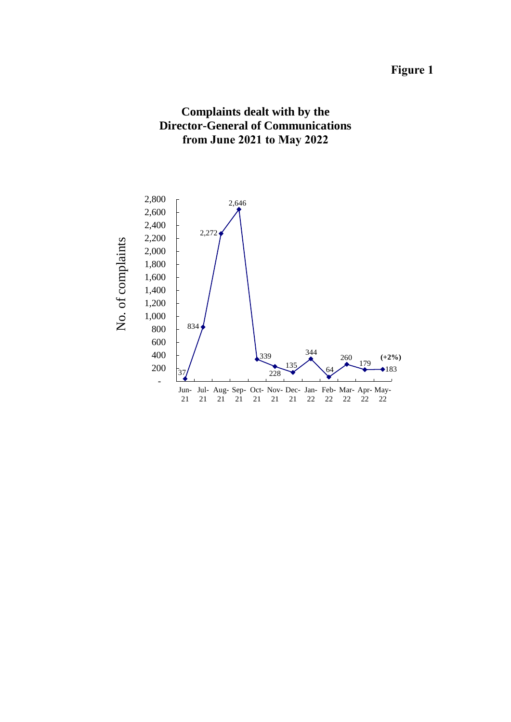## **Figure 1**



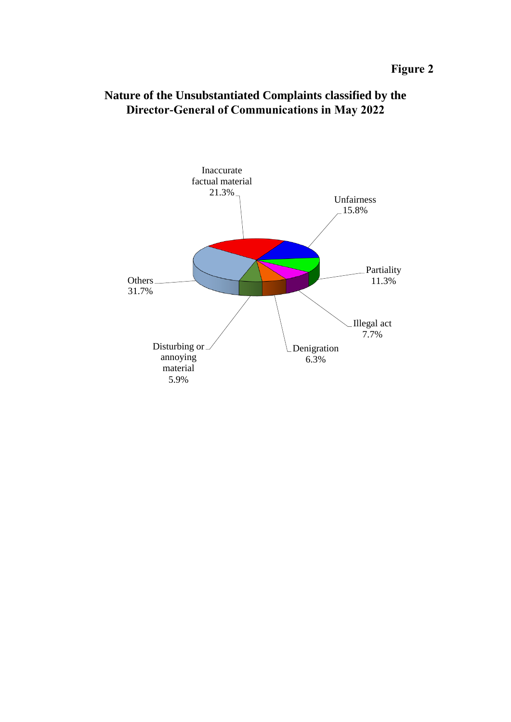

### **Nature of the Unsubstantiated Complaints classified by the Director-General of Communications in May 2022**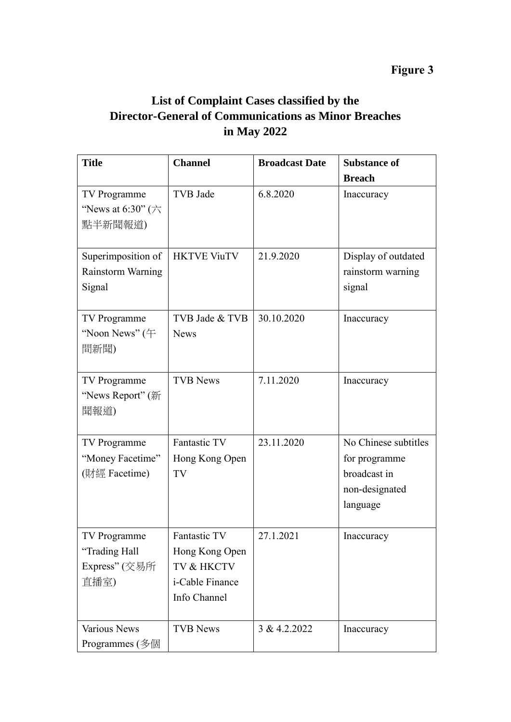# **Figure 3**

# **List of Complaint Cases classified by the Director-General of Communications as Minor Breaches in May 2022**

| <b>Title</b>                          | <b>Channel</b>     | <b>Broadcast Date</b> | <b>Substance of</b>  |
|---------------------------------------|--------------------|-----------------------|----------------------|
|                                       |                    |                       | <b>Breach</b>        |
| TV Programme                          | TVB Jade           | 6.8.2020              | Inaccuracy           |
| "News at 6:30" $(\overrightarrow{7})$ |                    |                       |                      |
| 點半新聞報道)                               |                    |                       |                      |
| Superimposition of                    | <b>HKTVE ViuTV</b> | 21.9.2020             | Display of outdated  |
| Rainstorm Warning                     |                    |                       | rainstorm warning    |
| Signal                                |                    |                       | signal               |
| TV Programme                          | TVB Jade & TVB     | 30.10.2020            | Inaccuracy           |
| "Noon News" $($ $\pm$                 | <b>News</b>        |                       |                      |
| 間新聞)                                  |                    |                       |                      |
| TV Programme                          | <b>TVB News</b>    | 7.11.2020             | Inaccuracy           |
| "News Report" (新                      |                    |                       |                      |
| 聞報道)                                  |                    |                       |                      |
| TV Programme                          | Fantastic TV       | 23.11.2020            | No Chinese subtitles |
| "Money Facetime"                      | Hong Kong Open     |                       | for programme        |
| (財經 Facetime)                         | TV                 |                       | broadcast in         |
|                                       |                    |                       | non-designated       |
|                                       |                    |                       | language             |
| TV Programme                          | Fantastic TV       | 27.1.2021             | Inaccuracy           |
| "Trading Hall                         | Hong Kong Open     |                       |                      |
| Express" (交易所                         | TV & HKCTV         |                       |                      |
| 直播室)                                  | i-Cable Finance    |                       |                      |
|                                       | Info Channel       |                       |                      |
| <b>Various News</b>                   | <b>TVB News</b>    | 3 & 4.2.2022          | Inaccuracy           |
| Programmes (多個                        |                    |                       |                      |